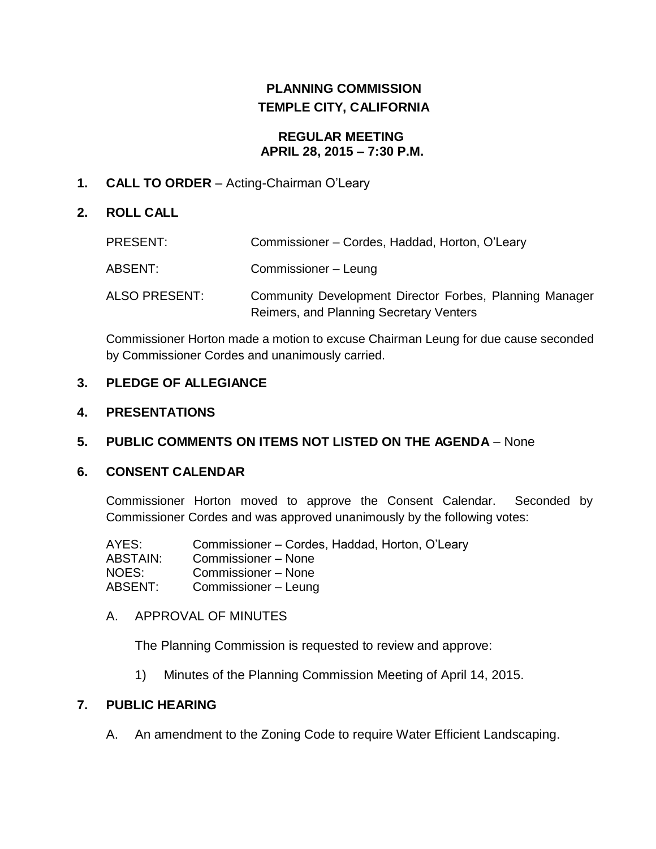# **PLANNING COMMISSION TEMPLE CITY, CALIFORNIA**

### **REGULAR MEETING APRIL 28, 2015 – 7:30 P.M.**

## **1. CALL TO ORDER** – Acting-Chairman O'Leary

## **2. ROLL CALL**

| PRESENT:      | Commissioner – Cordes, Haddad, Horton, O'Leary                                                     |
|---------------|----------------------------------------------------------------------------------------------------|
| ABSENT:       | Commissioner - Leung                                                                               |
| ALSO PRESENT: | Community Development Director Forbes, Planning Manager<br>Reimers, and Planning Secretary Venters |

Commissioner Horton made a motion to excuse Chairman Leung for due cause seconded by Commissioner Cordes and unanimously carried.

## **3. PLEDGE OF ALLEGIANCE**

#### **4. PRESENTATIONS**

#### **5. PUBLIC COMMENTS ON ITEMS NOT LISTED ON THE AGENDA** – None

#### **6. CONSENT CALENDAR**

Commissioner Horton moved to approve the Consent Calendar. Seconded by Commissioner Cordes and was approved unanimously by the following votes:

| AYES:    | Commissioner – Cordes, Haddad, Horton, O'Leary |
|----------|------------------------------------------------|
| ABSTAIN: | Commissioner – None                            |
| NOES:    | Commissioner - None                            |
| ABSENT:  | Commissioner – Leung                           |

#### A. APPROVAL OF MINUTES

The Planning Commission is requested to review and approve:

1) Minutes of the [Planning Commission Meeting](http://ca-templecity.civicplus.com/DocumentCenter/View/2972) of April 14, 2015.

#### **7. PUBLIC HEARING**

A. An amendment to the Zoning Code to require Water Efficient Landscaping.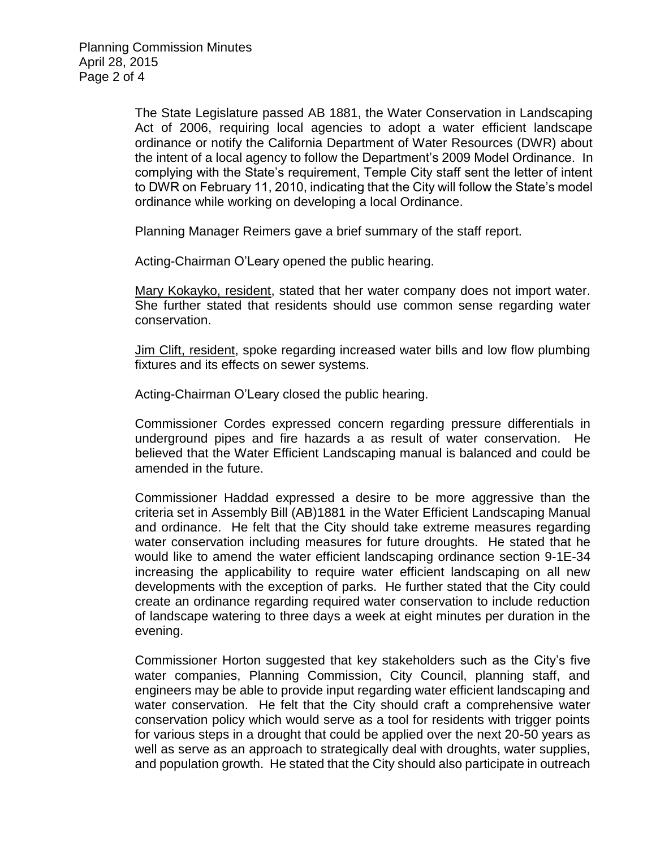The State Legislature passed AB 1881, the Water Conservation in Landscaping Act of 2006, requiring local agencies to adopt a water efficient landscape ordinance or notify the California Department of Water Resources (DWR) about the intent of a local agency to follow the Department's 2009 Model Ordinance. In complying with the State's requirement, Temple City staff sent the letter of intent to DWR on February 11, 2010, indicating that the City will follow the State's model ordinance while working on developing a local Ordinance.

Planning Manager Reimers gave a brief summary of the staff report.

Acting-Chairman O'Leary opened the public hearing.

Mary Kokayko, resident, stated that her water company does not import water. She further stated that residents should use common sense regarding water conservation.

Jim Clift, resident, spoke regarding increased water bills and low flow plumbing fixtures and its effects on sewer systems.

Acting-Chairman O'Leary closed the public hearing.

Commissioner Cordes expressed concern regarding pressure differentials in underground pipes and fire hazards a as result of water conservation. He believed that the Water Efficient Landscaping manual is balanced and could be amended in the future.

Commissioner Haddad expressed a desire to be more aggressive than the criteria set in Assembly Bill (AB)1881 in the Water Efficient Landscaping Manual and ordinance. He felt that the City should take extreme measures regarding water conservation including measures for future droughts. He stated that he would like to amend the water efficient landscaping ordinance section 9-1E-34 increasing the applicability to require water efficient landscaping on all new developments with the exception of parks. He further stated that the City could create an ordinance regarding required water conservation to include reduction of landscape watering to three days a week at eight minutes per duration in the evening.

Commissioner Horton suggested that key stakeholders such as the City's five water companies, Planning Commission, City Council, planning staff, and engineers may be able to provide input regarding water efficient landscaping and water conservation. He felt that the City should craft a comprehensive water conservation policy which would serve as a tool for residents with trigger points for various steps in a drought that could be applied over the next 20-50 years as well as serve as an approach to strategically deal with droughts, water supplies, and population growth. He stated that the City should also participate in outreach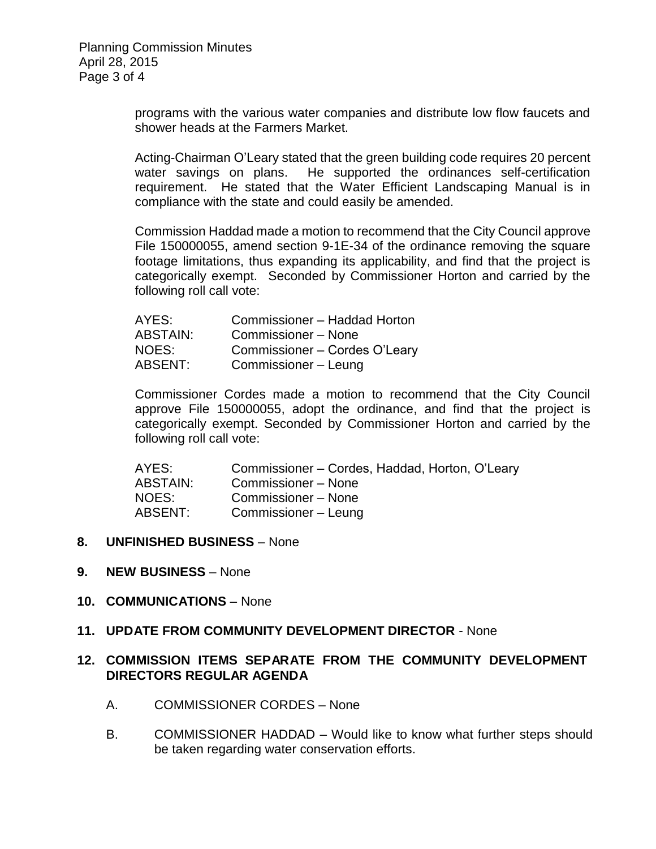programs with the various water companies and distribute low flow faucets and shower heads at the Farmers Market.

Acting-Chairman O'Leary stated that the green building code requires 20 percent water savings on plans. He supported the ordinances self-certification requirement. He stated that the Water Efficient Landscaping Manual is in compliance with the state and could easily be amended.

Commission Haddad made a motion to recommend that the City Council approve File 150000055, amend section 9-1E-34 of the ordinance removing the square footage limitations, thus expanding its applicability, and find that the project is categorically exempt. Seconded by Commissioner Horton and carried by the following roll call vote:

| AYES:    | Commissioner - Haddad Horton  |
|----------|-------------------------------|
| ABSTAIN: | Commissioner – None           |
| NOES:    | Commissioner - Cordes O'Leary |
| ABSENT:  | Commissioner - Leung          |

Commissioner Cordes made a motion to recommend that the City Council approve File 150000055, adopt the ordinance, and find that the project is categorically exempt. Seconded by Commissioner Horton and carried by the following roll call vote:

| AYES:           | Commissioner – Cordes, Haddad, Horton, O'Leary |
|-----------------|------------------------------------------------|
| <b>ABSTAIN:</b> | Commissioner - None                            |
| NOES:           | Commissioner - None                            |
| ABSENT:         | Commissioner – Leung                           |

- **8. UNFINISHED BUSINESS** None
- **9. NEW BUSINESS** None
- **10. COMMUNICATIONS** None
- **11. UPDATE FROM COMMUNITY DEVELOPMENT DIRECTOR** None

#### **12. COMMISSION ITEMS SEPARATE FROM THE COMMUNITY DEVELOPMENT DIRECTORS REGULAR AGENDA**

- A. COMMISSIONER CORDES None
- B. COMMISSIONER HADDAD Would like to know what further steps should be taken regarding water conservation efforts.